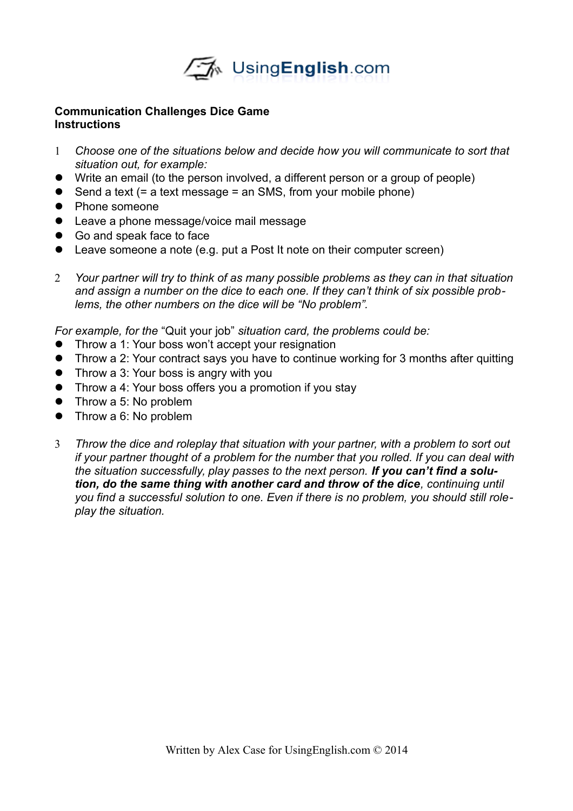

## **Communication Challenges Dice Game Instructions**

- 1 *Choose one of the situations below and decide how you will communicate to sort that situation out, for example:*
- Write an email (to the person involved, a different person or a group of people)
- $\bullet$  Send a text (= a text message = an SMS, from your mobile phone)
- Phone someone
- **•** Leave a phone message/voice mail message
- Go and speak face to face
- Leave someone a note (e.g. put a Post It note on their computer screen)
- 2 *Your partner will try to think of as many possible problems as they can in that situation and assign a number on the dice to each one. If they can't think of six possible problems, the other numbers on the dice will be "No problem".*

*For example, for the* "Quit your job" *situation card, the problems could be:*

- Throw a 1: Your boss won't accept your resignation
- Throw a 2: Your contract says you have to continue working for 3 months after quitting
- Throw a 3: Your boss is angry with you
- Throw a 4: Your boss offers you a promotion if you stay
- Throw a 5: No problem
- Throw a 6: No problem
- 3 *Throw the dice and roleplay that situation with your partner, with a problem to sort out if your partner thought of a problem for the number that you rolled. If you can deal with the situation successfully, play passes to the next person. If you can't find a solution, do the same thing with another card and throw of the dice, continuing until you find a successful solution to one. Even if there is no problem, you should still roleplay the situation.*